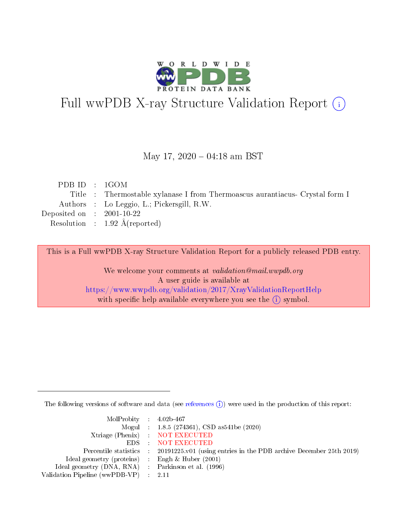

# Full wwPDB X-ray Structure Validation Report (i)

### May 17,  $2020 - 04:18$  am BST

| PDB ID : 1GOM               |                                                                              |
|-----------------------------|------------------------------------------------------------------------------|
|                             | Title : Thermostable xylanase I from Thermoascus aurantiacus- Crystal form I |
|                             | Authors : Lo Leggio, L.; Pickersgill, R.W.                                   |
| Deposited on : $2001-10-22$ |                                                                              |
|                             | Resolution : $1.92 \text{ Å}$ (reported)                                     |
|                             |                                                                              |

This is a Full wwPDB X-ray Structure Validation Report for a publicly released PDB entry.

We welcome your comments at validation@mail.wwpdb.org A user guide is available at <https://www.wwpdb.org/validation/2017/XrayValidationReportHelp> with specific help available everywhere you see the  $(i)$  symbol.

The following versions of software and data (see [references](https://www.wwpdb.org/validation/2017/XrayValidationReportHelp#references)  $(i)$ ) were used in the production of this report:

| $MolProbability$ 4.02b-467                          |                                                                                            |
|-----------------------------------------------------|--------------------------------------------------------------------------------------------|
|                                                     | Mogul : $1.8.5$ (274361), CSD as 541be (2020)                                              |
|                                                     | Xtriage (Phenix) NOT EXECUTED                                                              |
|                                                     | EDS NOT EXECUTED                                                                           |
|                                                     | Percentile statistics : 20191225.v01 (using entries in the PDB archive December 25th 2019) |
| Ideal geometry (proteins) :                         | Engh & Huber $(2001)$                                                                      |
| Ideal geometry (DNA, RNA) : Parkinson et al. (1996) |                                                                                            |
| Validation Pipeline (wwPDB-VP) : 2.11               |                                                                                            |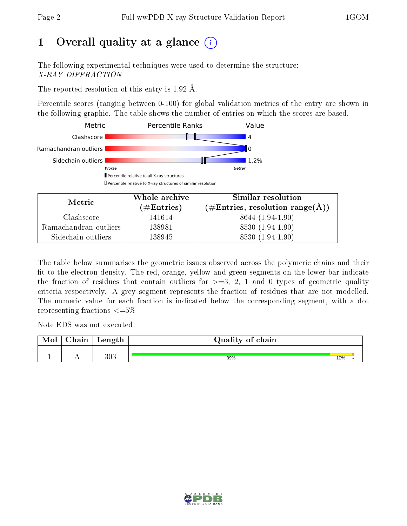# 1 [O](https://www.wwpdb.org/validation/2017/XrayValidationReportHelp#overall_quality)verall quality at a glance  $(i)$

The following experimental techniques were used to determine the structure: X-RAY DIFFRACTION

The reported resolution of this entry is  $1.92 \text{ Å}.$ 

Percentile scores (ranging between 0-100) for global validation metrics of the entry are shown in the following graphic. The table shows the number of entries on which the scores are based.



| Metric                | Whole archive<br>$(\#\text{Entries})$ | Similar resolution<br>$(\#\text{Entries}, \text{resolution range}(\text{\AA}) )$ |  |  |
|-----------------------|---------------------------------------|----------------------------------------------------------------------------------|--|--|
| Clashscore            | 141614                                | 8644 (1.94-1.90)                                                                 |  |  |
| Ramachandran outliers | 138981                                | 8530 (1.94-1.90)                                                                 |  |  |
| Sidechain outliers    | 138945                                | 8530 (1.94-1.90)                                                                 |  |  |

The table below summarises the geometric issues observed across the polymeric chains and their fit to the electron density. The red, orange, yellow and green segments on the lower bar indicate the fraction of residues that contain outliers for  $\geq=3$ , 2, 1 and 0 types of geometric quality criteria respectively. A grey segment represents the fraction of residues that are not modelled. The numeric value for each fraction is indicated below the corresponding segment, with a dot representing fractions  $\leq=5\%$ 

Note EDS was not executed.

| Mol | $\alpha$ hain | $\lceil -\text{length} \rceil$ | Quality of chain |     |  |
|-----|---------------|--------------------------------|------------------|-----|--|
|     | . .           | 303                            | 89%              | 10% |  |

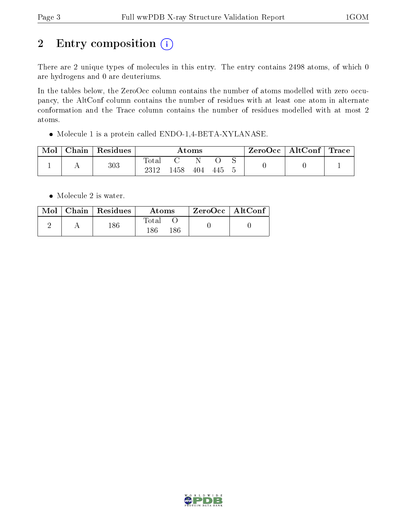# 2 Entry composition (i)

There are 2 unique types of molecules in this entry. The entry contains 2498 atoms, of which 0 are hydrogens and 0 are deuteriums.

In the tables below, the ZeroOcc column contains the number of atoms modelled with zero occupancy, the AltConf column contains the number of residues with at least one atom in alternate conformation and the Trace column contains the number of residues modelled with at most 2 atoms.

Molecule 1 is a protein called ENDO-1,4-BETA-XYLANASE.

| Mol | Chain | $\perp$ Residues | Atoms                    |      |     |     | $\text{ZeroOcc} \mid \text{AltConf} \mid \text{Trace}$ |  |  |
|-----|-------|------------------|--------------------------|------|-----|-----|--------------------------------------------------------|--|--|
|     |       | 303              | $\mathrm{Total}$<br>2312 | !458 | 404 | 445 |                                                        |  |  |

• Molecule 2 is water.

|  | Mol   Chain   Residues | Atoms        | ZeroOcc   AltConf |
|--|------------------------|--------------|-------------------|
|  | 186                    | Total<br>186 |                   |

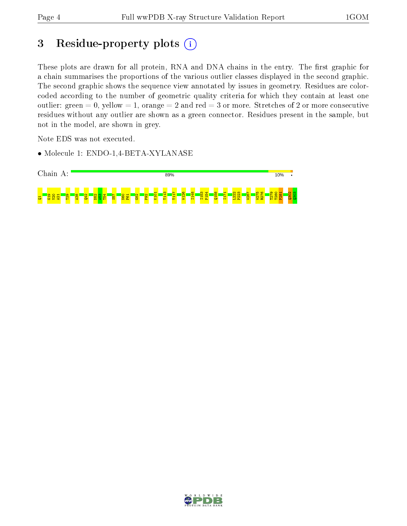# 3 Residue-property plots (i)

These plots are drawn for all protein, RNA and DNA chains in the entry. The first graphic for a chain summarises the proportions of the various outlier classes displayed in the second graphic. The second graphic shows the sequence view annotated by issues in geometry. Residues are colorcoded according to the number of geometric quality criteria for which they contain at least one outlier: green  $= 0$ , yellow  $= 1$ , orange  $= 2$  and red  $= 3$  or more. Stretches of 2 or more consecutive residues without any outlier are shown as a green connector. Residues present in the sample, but not in the model, are shown in grey.

Note EDS was not executed.

• Molecule 1: ENDO-1,4-BETA-XYLANASE



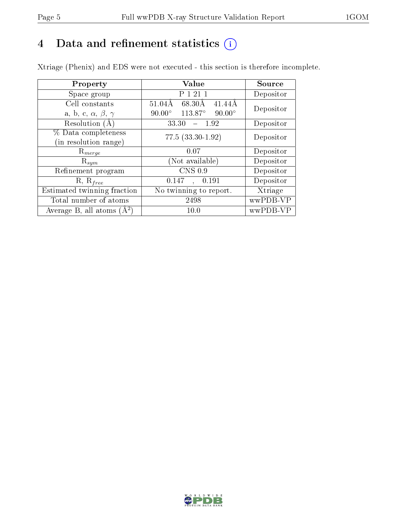# 4 Data and refinement statistics  $(i)$

Xtriage (Phenix) and EDS were not executed - this section is therefore incomplete.

| Property                               | Value                                      | Source    |  |
|----------------------------------------|--------------------------------------------|-----------|--|
| Space group                            | P 1 21 1                                   | Depositor |  |
| Cell constants                         | $51.04\text{\AA}$<br>68.30Å<br>41.44Å      | Depositor |  |
| a, b, c, $\alpha$ , $\beta$ , $\gamma$ | 113.87°<br>$90.00^\circ$<br>$90.00^\circ$  |           |  |
| Resolution (A)                         | $-1.92$<br>33.30                           | Depositor |  |
| % Data completeness                    | $77.5(33.30-1.92)$                         | Depositor |  |
| (in resolution range)                  |                                            |           |  |
| $\mathrm{R}_{merge}$                   | 0.07                                       | Depositor |  |
| $\mathrm{R}_{sym}$                     | (Not available)                            | Depositor |  |
| Refinement program                     | $CNS$ 0.9                                  | Depositor |  |
| $R, R_{free}$                          | 0.147<br>, 0.191                           | Depositor |  |
| Estimated twinning fraction            | $\overline{\text{No}}$ twinning to report. | Xtriage   |  |
| Total number of atoms                  | 2498                                       | wwPDB-VP  |  |
| Average B, all atoms $(A^2)$           | 10.0                                       | wwPDB-VP  |  |

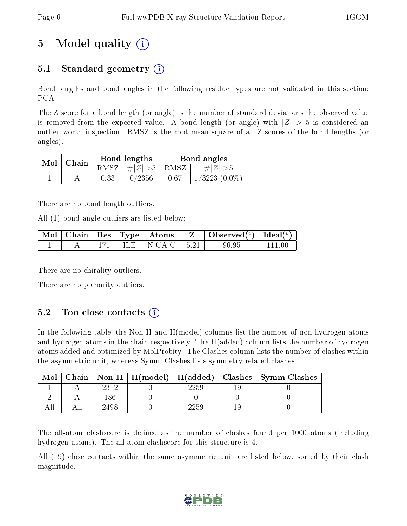# 5 Model quality  $(i)$

# 5.1 Standard geometry (i)

Bond lengths and bond angles in the following residue types are not validated in this section: PCA

The Z score for a bond length (or angle) is the number of standard deviations the observed value is removed from the expected value. A bond length (or angle) with  $|Z| > 5$  is considered an outlier worth inspection. RMSZ is the root-mean-square of all Z scores of the bond lengths (or angles).

| $Mol$   Chain |      | Bond lengths                   | Bond angles |                    |  |
|---------------|------|--------------------------------|-------------|--------------------|--|
|               |      | RMSZ $\mid \#Z \mid >5$   RMSZ |             | $\# Z  > 5$        |  |
|               | 0.33 | 0/2356                         | 0.67        | $1/3223$ $(0.0\%)$ |  |

There are no bond length outliers.

All (1) bond angle outliers are listed below:

|  |  |                            | $\mid$ Mol $\mid$ Chain $\mid$ Res $\mid$ Type $\mid$ Atoms $\mid$ Z $\mid$ Observed( $^o$ ) $\mid$ Ideal( $^o$ ) |            |
|--|--|----------------------------|-------------------------------------------------------------------------------------------------------------------|------------|
|  |  | 171   ILE   N-CA-C   -5.21 | 96.95                                                                                                             | $+$ 111 00 |

There are no chirality outliers.

There are no planarity outliers.

## $5.2$  Too-close contacts  $(i)$

In the following table, the Non-H and H(model) columns list the number of non-hydrogen atoms and hydrogen atoms in the chain respectively. The H(added) column lists the number of hydrogen atoms added and optimized by MolProbity. The Clashes column lists the number of clashes within the asymmetric unit, whereas Symm-Clashes lists symmetry related clashes.

| Mol |      |          | Chain   Non-H   H(model)   H(added)   Clashes   Symm-Clashes |
|-----|------|----------|--------------------------------------------------------------|
|     | 2312 | $2259\,$ |                                                              |
|     |      |          |                                                              |
|     | 2498 | 2259     |                                                              |

The all-atom clashscore is defined as the number of clashes found per 1000 atoms (including hydrogen atoms). The all-atom clashscore for this structure is 4.

All (19) close contacts within the same asymmetric unit are listed below, sorted by their clash magnitude.

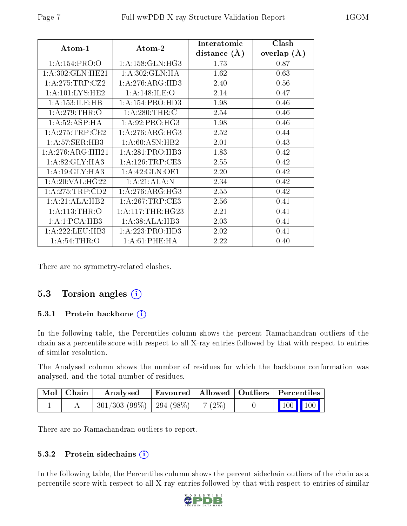| Atom-1              | Atom-2              | Interatomic<br>distance $(A)$ | Clash<br>overlap $(A)$ |
|---------------------|---------------------|-------------------------------|------------------------|
| 1:A:154:PRO:O       | 1: A: 158: GLN: HG3 | 1.73                          | 0.87                   |
| 1: A:302: GLN: HE21 | 1: A:302: GLN: HA   | 1.62                          | 0.63                   |
| 1:A:275:TRP:CZ2     | 1:A:276:ARG:HD3     | 2.40                          | 0.56                   |
| 1: A: 101: LYS: HE2 | 1:A:148:ILE:O       | 2.14                          | 0.47                   |
| 1:A:153:ILE:HB      | 1:A:154:PRO:HD3     | 1.98                          | 0.46                   |
| 1: A:279:THR:O      | 1: A:280:THR:C      | 2.54                          | 0.46                   |
| 1:A:52:ASP:HA       | 1: A:92: PRO:HG3    | 1.98                          | 0.46                   |
| 1: A:275:TRP:CE2    | 1: A:276: ARG:HG3   | 2.52                          | 0.44                   |
| 1: A:57: SER:HB3    | 1: A:60: ASN:HB2    | 2.01                          | 0.43                   |
| 1:A:276:ARG:HH21    | 1:A:281:PRO:HB3     | 1.83                          | 0.42                   |
| 1: A:82: GLY:HA3    | 1: A:126:TRP:CE3    | 2.55                          | 0.42                   |
| 1: A:19: GLY:HA3    | 1:A:42:GLN:OE1      | 2.20                          | 0.42                   |
| 1:A:20:VAL:HG22     | 1:A:21:ALA:N        | 2.34                          | 0.42                   |
| 1: A:275:TRP:CD2    | 1: A:276: ARG:HG3   | 2.55                          | 0.42                   |
| 1:A:21:ALA:HB2      | 1: A:267:TRP:CE3    | 2.56                          | 0.41                   |
| 1: A:113:THR:O      | 1: A:117:THR:HG23   | 2.21                          | 0.41                   |
| 1:A:1:PCA:HB3       | 1: A:38: ALA:HB3    | 2.03                          | 0.41                   |
| 1: A: 222: LEU: HB3 | 1:A:223:PRO:HD3     | 2.02                          | 0.41                   |
| 1: A:54:THR:O       | 1: A:61:PHE:HA      | 2.22                          | 0.40                   |

There are no symmetry-related clashes.

#### 5.3 Torsion angles (i)

#### 5.3.1 Protein backbone (i)

In the following table, the Percentiles column shows the percent Ramachandran outliers of the chain as a percentile score with respect to all X-ray entries followed by that with respect to entries of similar resolution.

The Analysed column shows the number of residues for which the backbone conformation was analysed, and the total number of residues.

| $\blacksquare$ Mol $\vert$ Chain | Analysed                                            |  | Favoured   Allowed   Outliers   Percentiles |
|----------------------------------|-----------------------------------------------------|--|---------------------------------------------|
|                                  | $\mid$ 301/303 (99%) $\mid$ 294 (98%) $\mid$ 7 (2%) |  | $\vert$ 100 100 $\vert$                     |

There are no Ramachandran outliers to report.

#### 5.3.2 Protein sidechains (i)

In the following table, the Percentiles column shows the percent sidechain outliers of the chain as a percentile score with respect to all X-ray entries followed by that with respect to entries of similar

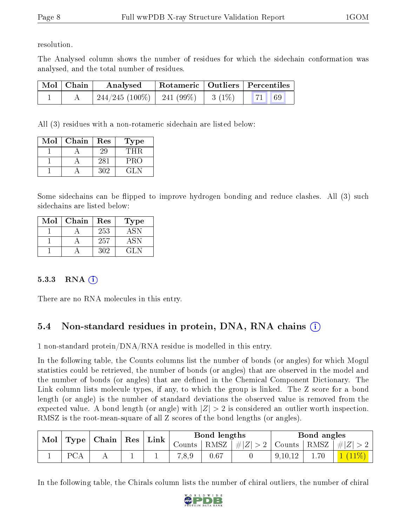resolution.

The Analysed column shows the number of residues for which the sidechain conformation was analysed, and the total number of residues.

| $^{\dagger}$ Mol $\overline{\hspace{0.1cm}}$ Chain | Analysed                       |          | Rotameric   Outliers   Percentiles |
|----------------------------------------------------|--------------------------------|----------|------------------------------------|
|                                                    | $244/245$ (100\%)   241 (99\%) | $3(1\%)$ | <b>71</b> 69                       |

All (3) residues with a non-rotameric sidechain are listed below:

| Mol | Chain | Res | Type |
|-----|-------|-----|------|
|     |       | 29  | TH R |
|     |       | 281 | PRO  |
|     |       | 302 | GL N |

Some sidechains can be flipped to improve hydrogen bonding and reduce clashes. All (3) such sidechains are listed below:

| Mol | Chain | Res | Type |
|-----|-------|-----|------|
|     |       | 253 | ASN  |
|     |       | 257 | ASN  |
|     |       | 302 | (11) |

#### 5.3.3 RNA  $(i)$

There are no RNA molecules in this entry.

## 5.4 Non-standard residues in protein, DNA, RNA chains (i)

1 non-standard protein/DNA/RNA residue is modelled in this entry.

In the following table, the Counts columns list the number of bonds (or angles) for which Mogul statistics could be retrieved, the number of bonds (or angles) that are observed in the model and the number of bonds (or angles) that are defined in the Chemical Component Dictionary. The Link column lists molecule types, if any, to which the group is linked. The Z score for a bond length (or angle) is the number of standard deviations the observed value is removed from the expected value. A bond length (or angle) with  $|Z| > 2$  is considered an outlier worth inspection. RMSZ is the root-mean-square of all Z scores of the bond lengths (or angles).

| Mol |                  | $\mid$ Type $\mid$ Chain $\mid$ Res |  | Link | Bond lengths |      |             | Bond angles                         |     |           |
|-----|------------------|-------------------------------------|--|------|--------------|------|-------------|-------------------------------------|-----|-----------|
|     |                  |                                     |  |      | Counts       | RMSZ | $\# Z  > 2$ | $\vert$ Counts $\vert$ RMSZ $\vert$ |     | $\pm  Z $ |
|     | $D \cap \Lambda$ |                                     |  |      | 0.8,9        | 0.67 |             | 9, 10, 12                           | .70 |           |

In the following table, the Chirals column lists the number of chiral outliers, the number of chiral

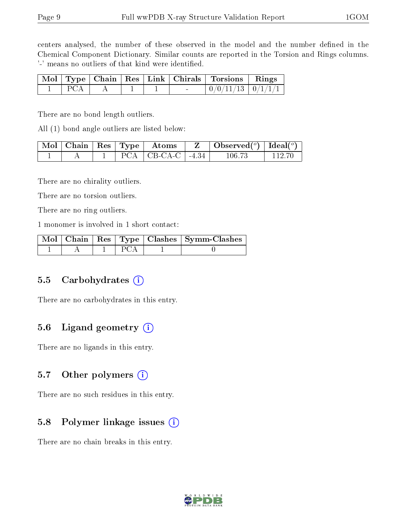centers analysed, the number of these observed in the model and the number defined in the Chemical Component Dictionary. Similar counts are reported in the Torsion and Rings columns. '-' means no outliers of that kind were identified.

|                   |  |                          | Mol   Type   Chain   Res   Link   Chirals   Torsions   Rings |  |
|-------------------|--|--------------------------|--------------------------------------------------------------|--|
| $\Box$ PCA $\Box$ |  | <b>Contract Contract</b> | $\mid 0/0/11/13 \mid 0/1/1/1 \mid$                           |  |

There are no bond length outliers.

All (1) bond angle outliers are listed below:

|  |  | $\sqrt{\text{Mol}}$   Chain   Res   Type   Atoms | $\mid$ Observed( $^o$ ) $\mid$ Ideal( $^o$ ) $\mid$ |  |
|--|--|--------------------------------------------------|-----------------------------------------------------|--|
|  |  | $PCA$   CB-CA-C   -4.34                          | 106 73                                              |  |

There are no chirality outliers.

There are no torsion outliers.

There are no ring outliers.

1 monomer is involved in 1 short contact:

|  |  | $\sqrt{\text{ Mol } $ Chain $\mid$ Res $\mid$ Type $\mid$ Clashes $\mid$ Symm-Clashes $\mid$ |
|--|--|----------------------------------------------------------------------------------------------|
|  |  |                                                                                              |

### 5.5 Carbohydrates  $(i)$

There are no carbohydrates in this entry.

### 5.6 Ligand geometry (i)

There are no ligands in this entry.

#### 5.7 [O](https://www.wwpdb.org/validation/2017/XrayValidationReportHelp#nonstandard_residues_and_ligands)ther polymers  $(i)$

There are no such residues in this entry.

### 5.8 Polymer linkage issues  $(i)$

There are no chain breaks in this entry.